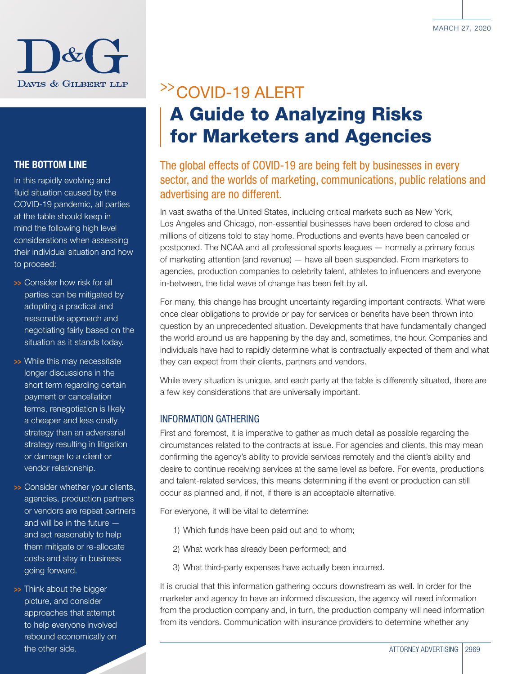

#### THE BOTTOM LINE

In this rapidly evolving and fluid situation caused by the COVID-19 pandemic, all parties at the table should keep in mind the following high level considerations when assessing their individual situation and how to proceed:

- >>> Consider how risk for all parties can be mitigated by adopting a practical and reasonable approach and negotiating fairly based on the situation as it stands today.
- >>> While this may necessitate longer discussions in the short term regarding certain payment or cancellation terms, renegotiation is likely a cheaper and less costly strategy than an adversarial strategy resulting in litigation or damage to a client or vendor relationship.
- >>> Consider whether your clients, agencies, production partners or vendors are repeat partners and will be in the future and act reasonably to help them mitigate or re-allocate costs and stay in business going forward.
- >>> Think about the bigger picture, and consider approaches that attempt to help everyone involved rebound economically on the other side.

# >>COVID-19 ALERT A Guide to Analyzing Risks for Marketers and Agencies

### The global effects of COVID-19 are being felt by businesses in every sector, and the worlds of marketing, communications, public relations and advertising are no different.

In vast swaths of the United States, including critical markets such as New York, Los Angeles and Chicago, non-essential businesses have been ordered to close and millions of citizens told to stay home. Productions and events have been canceled or postponed. The NCAA and all professional sports leagues — normally a primary focus of marketing attention (and revenue) — have all been suspended. From marketers to agencies, production companies to celebrity talent, athletes to influencers and everyone in-between, the tidal wave of change has been felt by all.

For many, this change has brought uncertainty regarding important contracts. What were once clear obligations to provide or pay for services or benefits have been thrown into question by an unprecedented situation. Developments that have fundamentally changed the world around us are happening by the day and, sometimes, the hour. Companies and individuals have had to rapidly determine what is contractually expected of them and what they can expect from their clients, partners and vendors.

While every situation is unique, and each party at the table is differently situated, there are a few key considerations that are universally important.

#### INFORMATION GATHERING

First and foremost, it is imperative to gather as much detail as possible regarding the circumstances related to the contracts at issue. For agencies and clients, this may mean confirming the agency's ability to provide services remotely and the client's ability and desire to continue receiving services at the same level as before. For events, productions and talent-related services, this means determining if the event or production can still occur as planned and, if not, if there is an acceptable alternative.

For everyone, it will be vital to determine:

- 1) Which funds have been paid out and to whom;
- 2) What work has already been performed; and
- 3) What third-party expenses have actually been incurred.

It is crucial that this information gathering occurs downstream as well. In order for the marketer and agency to have an informed discussion, the agency will need information from the production company and, in turn, the production company will need information from its vendors. Communication with insurance providers to determine whether any